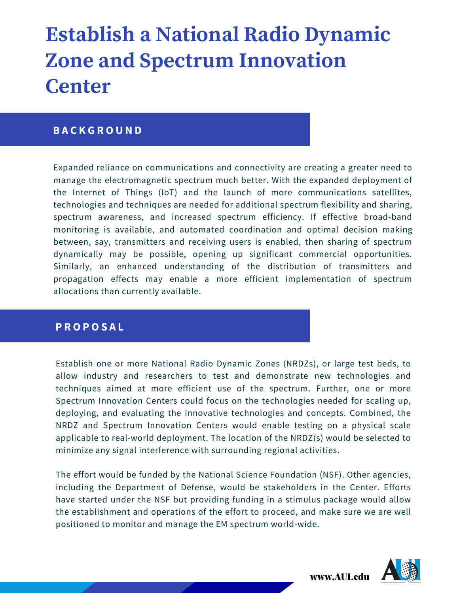# **Establish a National Radio Dynamic Zone and Spectrum Innovation Center**

#### **B A C K G R O U N D**

Expanded reliance on communications and connectivity are creating a greater need to manage the electromagnetic spectrum much better. With the expanded deployment of the Internet of Things (IoT) and the launch of more communications satellites, technologies and techniques are needed for additional spectrum flexibility and sharing, spectrum awareness, and increased spectrum efficiency. If effective broad-band monitoring is available, and automated coordination and optimal decision making between, say, transmitters and receiving users is enabled, then sharing of spectrum dynamically may be possible, opening up significant commercial opportunities. Similarly, an enhanced understanding of the distribution of transmitters and propagation effects may enable a more efficient implementation of spectrum allocations than currently available.

#### **P R O P O S A L**

Establish one or more National Radio Dynamic Zones (NRDZs), or large test beds, to allow industry and researchers to test and demonstrate new technologies and techniques aimed at more efficient use of the spectrum. Further, one or more Spectrum Innovation Centers could focus on the technologies needed for scaling up, deploying, and evaluating the innovative technologies and concepts. Combined, the NRDZ and Spectrum Innovation Centers would enable testing on a physical scale applicable to real-world deployment. The location of the NRDZ(s) would be selected to minimize any signal interference with surrounding regional activities.

The effort would be funded by the National Science Foundation (NSF). Other agencies, including the Department of Defense, would be stakeholders in the Center. Efforts have started under the NSF but providing funding in a stimulus package would allow the establishment and operations of the effort to proceed, and make sure we are well positioned to monitor and manage the EM spectrum world-wide.



www.AUI.edu